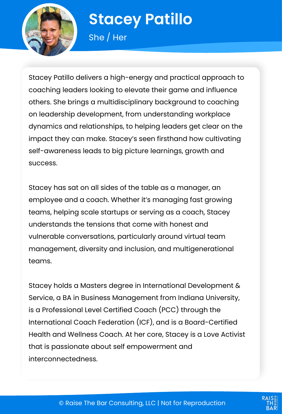

# **Stacey Patillo**

She / Her

Stacey Patillo delivers a high-energy and practical approach to coaching leaders looking to elevate their game and influence others. She brings a multidisciplinary background to coaching on leadership development, from understanding workplace dynamics and relationships, to helping leaders get clear on the impact they can make. Stacey's seen firsthand how cultivating self-awareness leads to big picture learnings, growth and success.

Stacey has sat on all sides of the table as a manager, an employee and a coach. Whether it's managing fast growing teams, helping scale startups or serving as a coach, Stacey understands the tensions that come with honest and vulnerable conversations, particularly around virtual team management, diversity and inclusion, and multigenerational teams.

Stacey holds a Masters degree in International Development & Service, a BA in Business Management from Indiana University, is a Professional Level Certified Coach (PCC) through the International Coach Federation (ICF), and is a Board-Certified Health and Wellness Coach. At her core, Stacey is a Love Activist that is passionate about self empowerment and interconnectedness.